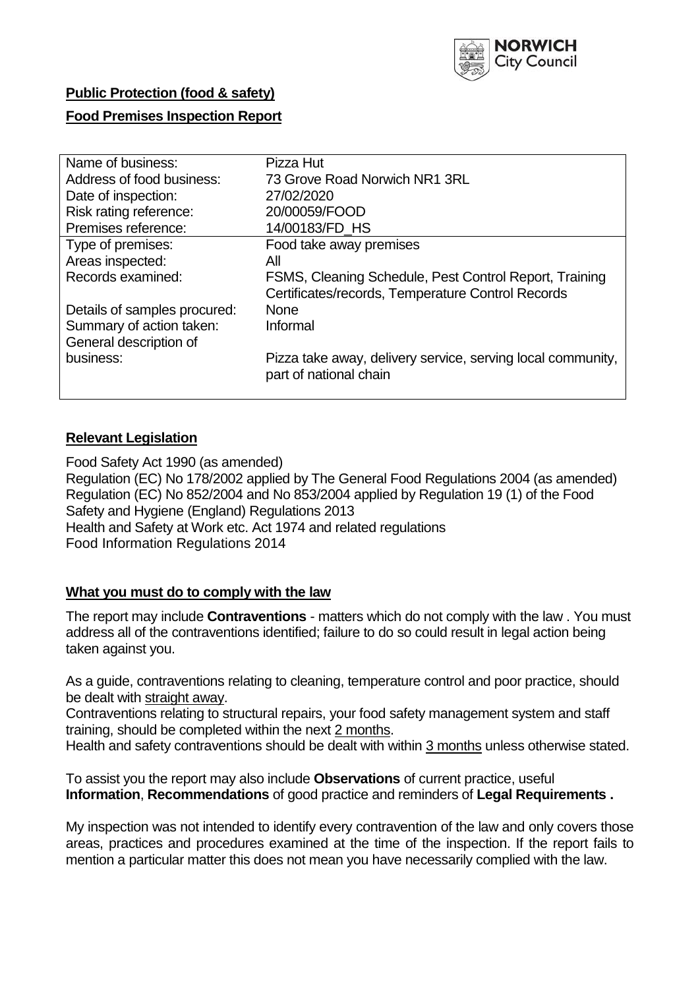

## **Public Protection (food & safety)**

## **Food Premises Inspection Report**

| Name of business:            | Pizza Hut                                                                                                   |
|------------------------------|-------------------------------------------------------------------------------------------------------------|
| Address of food business:    | 73 Grove Road Norwich NR1 3RL                                                                               |
| Date of inspection:          | 27/02/2020                                                                                                  |
| Risk rating reference:       | 20/00059/FOOD                                                                                               |
| Premises reference:          | 14/00183/FD HS                                                                                              |
| Type of premises:            | Food take away premises                                                                                     |
| Areas inspected:             | All                                                                                                         |
| Records examined:            | FSMS, Cleaning Schedule, Pest Control Report, Training<br>Certificates/records, Temperature Control Records |
| Details of samples procured: | <b>None</b>                                                                                                 |
| Summary of action taken:     | Informal                                                                                                    |
| General description of       |                                                                                                             |
| business:                    | Pizza take away, delivery service, serving local community,<br>part of national chain                       |
|                              |                                                                                                             |

## **Relevant Legislation**

Food Safety Act 1990 (as amended) Regulation (EC) No 178/2002 applied by The General Food Regulations 2004 (as amended) Regulation (EC) No 852/2004 and No 853/2004 applied by Regulation 19 (1) of the Food Safety and Hygiene (England) Regulations 2013 Health and Safety at Work etc. Act 1974 and related regulations Food Information Regulations 2014

## **What you must do to comply with the law**

The report may include **Contraventions** - matters which do not comply with the law . You must address all of the contraventions identified; failure to do so could result in legal action being taken against you.

As a guide, contraventions relating to cleaning, temperature control and poor practice, should be dealt with straight away.

Contraventions relating to structural repairs, your food safety management system and staff training, should be completed within the next 2 months.

Health and safety contraventions should be dealt with within 3 months unless otherwise stated.

To assist you the report may also include **Observations** of current practice, useful **Information**, **Recommendations** of good practice and reminders of **Legal Requirements .**

My inspection was not intended to identify every contravention of the law and only covers those areas, practices and procedures examined at the time of the inspection. If the report fails to mention a particular matter this does not mean you have necessarily complied with the law.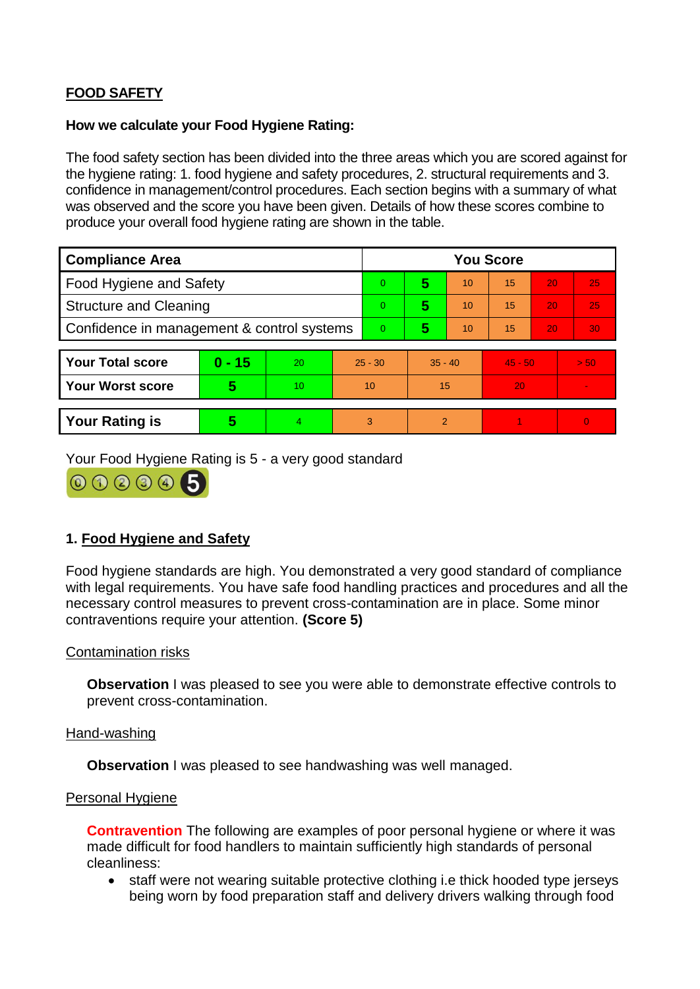# **FOOD SAFETY**

#### **How we calculate your Food Hygiene Rating:**

The food safety section has been divided into the three areas which you are scored against for the hygiene rating: 1. food hygiene and safety procedures, 2. structural requirements and 3. confidence in management/control procedures. Each section begins with a summary of what was observed and the score you have been given. Details of how these scores combine to produce your overall food hygiene rating are shown in the table.

| <b>Compliance Area</b>                     |          |    |                | <b>You Score</b> |           |    |           |    |                |  |  |
|--------------------------------------------|----------|----|----------------|------------------|-----------|----|-----------|----|----------------|--|--|
| Food Hygiene and Safety                    |          |    |                | $\Omega$         | 5         | 10 | 15        | 20 | 25             |  |  |
| <b>Structure and Cleaning</b>              |          |    | $\overline{0}$ | 5                | 10        | 15 | 20        | 25 |                |  |  |
| Confidence in management & control systems |          |    | $\overline{0}$ | 5                | 10        | 15 | 20        | 30 |                |  |  |
|                                            |          |    |                |                  |           |    |           |    |                |  |  |
| <b>Your Total score</b>                    | $0 - 15$ | 20 | $25 - 30$      |                  | $35 - 40$ |    | $45 - 50$ |    | > 50           |  |  |
| Your Worst score                           | 5        | 10 | 10             |                  | 15        |    | 20        |    |                |  |  |
|                                            |          |    |                |                  |           |    |           |    |                |  |  |
| <b>Your Rating is</b>                      | 5        | 4. | 3              |                  | 2         |    |           |    | $\overline{0}$ |  |  |

Your Food Hygiene Rating is 5 - a very good standard



# **1. Food Hygiene and Safety**

Food hygiene standards are high. You demonstrated a very good standard of compliance with legal requirements. You have safe food handling practices and procedures and all the necessary control measures to prevent cross-contamination are in place. Some minor contraventions require your attention. **(Score 5)**

## Contamination risks

**Observation** I was pleased to see you were able to demonstrate effective controls to prevent cross-contamination.

#### Hand-washing

**Observation I** was pleased to see handwashing was well managed.

#### Personal Hygiene

**Contravention** The following are examples of poor personal hygiene or where it was made difficult for food handlers to maintain sufficiently high standards of personal cleanliness:

• staff were not wearing suitable protective clothing i.e thick hooded type jerseys being worn by food preparation staff and delivery drivers walking through food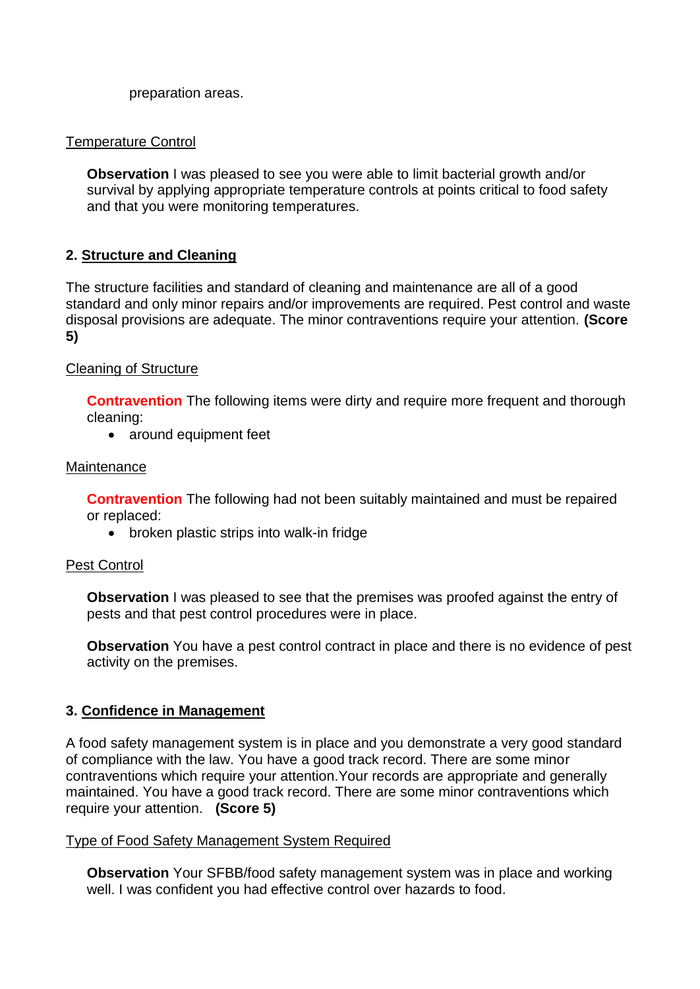preparation areas.

## Temperature Control

**Observation** I was pleased to see you were able to limit bacterial growth and/or survival by applying appropriate temperature controls at points critical to food safety and that you were monitoring temperatures.

# **2. Structure and Cleaning**

The structure facilities and standard of cleaning and maintenance are all of a good standard and only minor repairs and/or improvements are required. Pest control and waste disposal provisions are adequate. The minor contraventions require your attention. **(Score 5)**

## Cleaning of Structure

**Contravention** The following items were dirty and require more frequent and thorough cleaning:

• around equipment feet

## Maintenance

**Contravention** The following had not been suitably maintained and must be repaired or replaced:

broken plastic strips into walk-in fridge

## Pest Control

**Observation** I was pleased to see that the premises was proofed against the entry of pests and that pest control procedures were in place.

**Observation** You have a pest control contract in place and there is no evidence of pest activity on the premises.

## **3. Confidence in Management**

A food safety management system is in place and you demonstrate a very good standard of compliance with the law. You have a good track record. There are some minor contraventions which require your attention.Your records are appropriate and generally maintained. You have a good track record. There are some minor contraventions which require your attention. **(Score 5)**

## Type of Food Safety Management System Required

**Observation** Your SFBB/food safety management system was in place and working well. I was confident you had effective control over hazards to food.